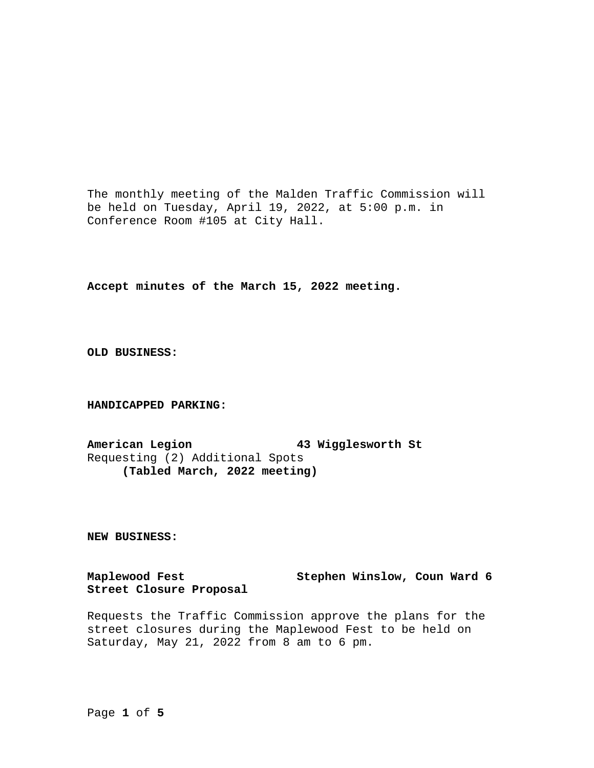The monthly meeting of the Malden Traffic Commission will be held on Tuesday, April 19, 2022, at 5:00 p.m. in Conference Room #105 at City Hall.

**Accept minutes of the March 15, 2022 meeting.**

**OLD BUSINESS:**

**HANDICAPPED PARKING:**

**American Legion 43 Wigglesworth St** Requesting (2) Additional Spots **(Tabled March, 2022 meeting)**

**NEW BUSINESS:**

**Maplewood Fest Stephen Winslow, Coun Ward 6 Street Closure Proposal**

Requests the Traffic Commission approve the plans for the street closures during the Maplewood Fest to be held on Saturday, May 21, 2022 from 8 am to 6 pm.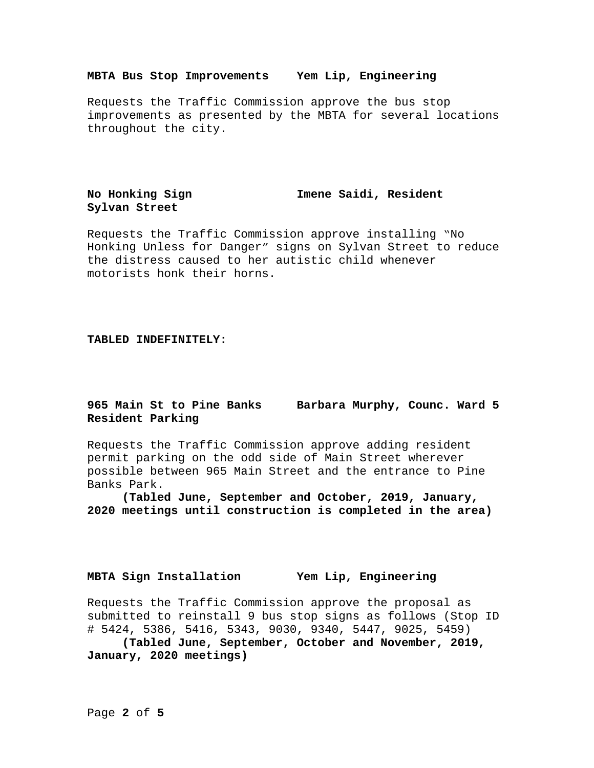### **MBTA Bus Stop Improvements Yem Lip, Engineering**

Requests the Traffic Commission approve the bus stop improvements as presented by the MBTA for several locations throughout the city.

# **Sylvan Street**

**No Honking Sign Imene Saidi, Resident**

Requests the Traffic Commission approve installing "No Honking Unless for Danger" signs on Sylvan Street to reduce the distress caused to her autistic child whenever motorists honk their horns.

#### **TABLED INDEFINITELY:**

## **965 Main St to Pine Banks Barbara Murphy, Counc. Ward 5 Resident Parking**

Requests the Traffic Commission approve adding resident permit parking on the odd side of Main Street wherever possible between 965 Main Street and the entrance to Pine Banks Park.

**(Tabled June, September and October, 2019, January, 2020 meetings until construction is completed in the area)**

## **MBTA Sign Installation Yem Lip, Engineering**

Requests the Traffic Commission approve the proposal as submitted to reinstall 9 bus stop signs as follows (Stop ID # 5424, 5386, 5416, 5343, 9030, 9340, 5447, 9025, 5459)

**(Tabled June, September, October and November, 2019, January, 2020 meetings)**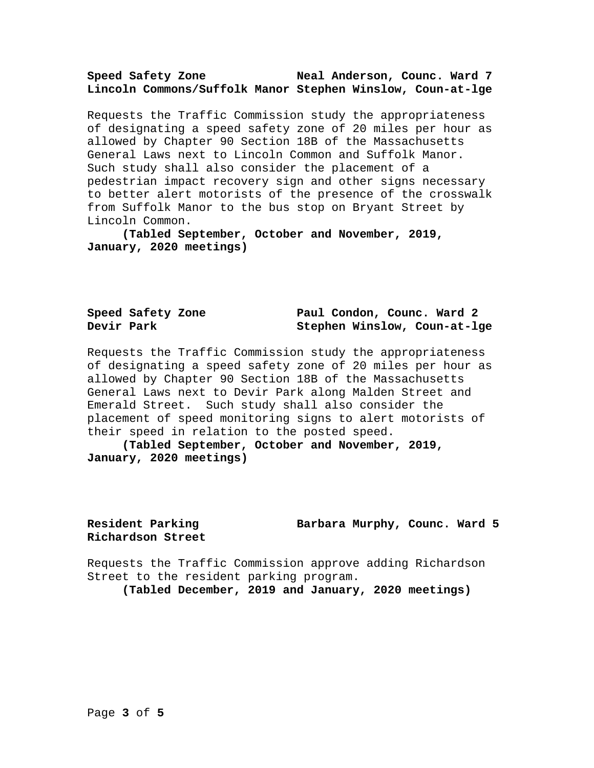### **Speed Safety Zone Neal Anderson, Counc. Ward 7 Lincoln Commons/Suffolk Manor Stephen Winslow, Coun-at-lge**

Requests the Traffic Commission study the appropriateness of designating a speed safety zone of 20 miles per hour as allowed by Chapter 90 Section 18B of the Massachusetts General Laws next to Lincoln Common and Suffolk Manor. Such study shall also consider the placement of a pedestrian impact recovery sign and other signs necessary to better alert motorists of the presence of the crosswalk from Suffolk Manor to the bus stop on Bryant Street by Lincoln Common.

**(Tabled September, October and November, 2019, January, 2020 meetings)**

|            | Speed Safety Zone |  |  | Paul Condon, Counc. Ward 2   |  |
|------------|-------------------|--|--|------------------------------|--|
| Devir Park |                   |  |  | Stephen Winslow, Coun-at-lge |  |

Requests the Traffic Commission study the appropriateness of designating a speed safety zone of 20 miles per hour as allowed by Chapter 90 Section 18B of the Massachusetts General Laws next to Devir Park along Malden Street and Emerald Street. Such study shall also consider the placement of speed monitoring signs to alert motorists of their speed in relation to the posted speed.

**(Tabled September, October and November, 2019, January, 2020 meetings)**

**Richardson Street**

**Resident Parking Barbara Murphy, Counc. Ward 5**

Requests the Traffic Commission approve adding Richardson Street to the resident parking program.

**(Tabled December, 2019 and January, 2020 meetings)**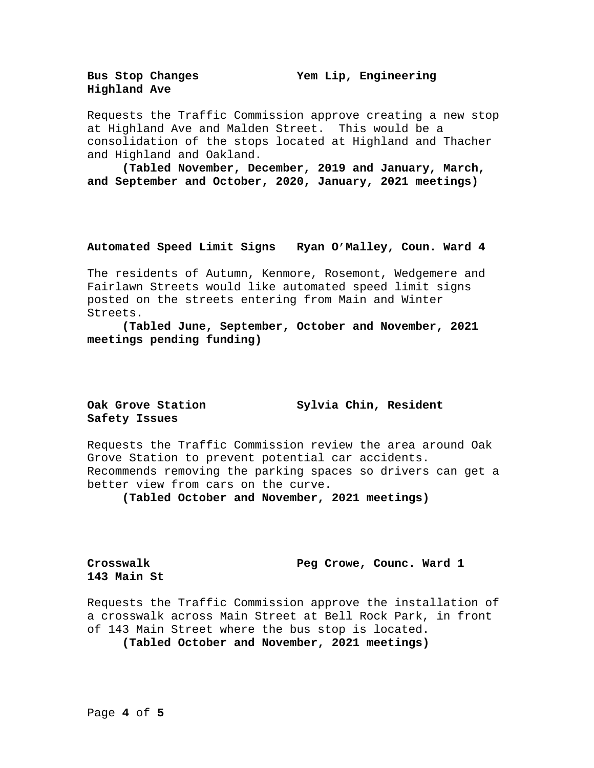**Bus Stop Changes Yem Lip, Engineering**

**Highland Ave**

Requests the Traffic Commission approve creating a new stop at Highland Ave and Malden Street. This would be a consolidation of the stops located at Highland and Thacher and Highland and Oakland.

**(Tabled November, December, 2019 and January, March, and September and October, 2020, January, 2021 meetings)**

#### **Automated Speed Limit Signs Ryan O'Malley, Coun. Ward 4**

The residents of Autumn, Kenmore, Rosemont, Wedgemere and Fairlawn Streets would like automated speed limit signs posted on the streets entering from Main and Winter Streets.

**(Tabled June, September, October and November, 2021 meetings pending funding)**

# **Safety Issues**

**Oak Grove Station Sylvia Chin, Resident**

Requests the Traffic Commission review the area around Oak Grove Station to prevent potential car accidents. Recommends removing the parking spaces so drivers can get a better view from cars on the curve.

**(Tabled October and November, 2021 meetings)**

**143 Main St**

**Crosswalk Peg Crowe, Counc. Ward 1**

Requests the Traffic Commission approve the installation of a crosswalk across Main Street at Bell Rock Park, in front of 143 Main Street where the bus stop is located.

**(Tabled October and November, 2021 meetings)**